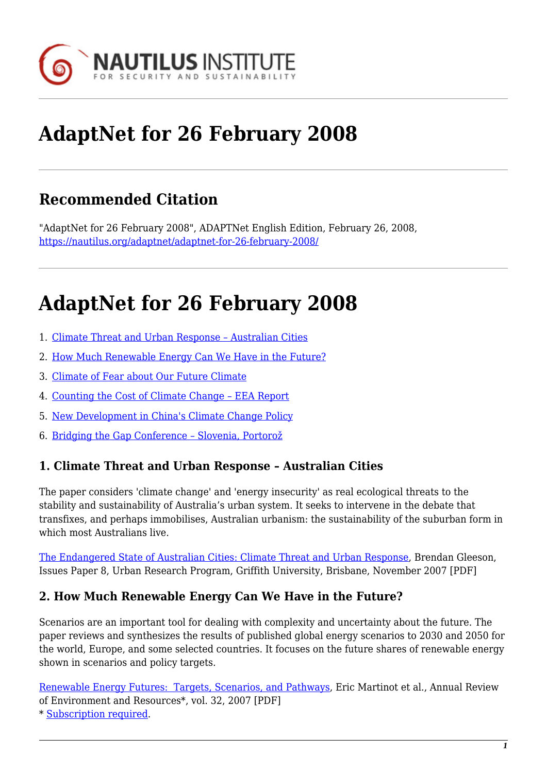

# **AdaptNet for 26 February 2008**

# **Recommended Citation**

"AdaptNet for 26 February 2008", ADAPTNet English Edition, February 26, 2008, <https://nautilus.org/adaptnet/adaptnet-for-26-february-2008/>

# **AdaptNet for 26 February 2008**

- 1. [Climate Threat and Urban Response Australian Cities](#page-0-0)
- 2. [How Much Renewable Energy Can We Have in the Future?](#page-0-1)
- 3. [Climate of Fear about Our Future Climate](#page-0-2)
- 4. [Counting the Cost of Climate Change EEA Report](#page-1-0)
- 5. [New Development in China's Climate Change Policy](#page-1-1)
- 6. [Bridging the Gap Conference Slovenia, Portorož](#page-1-2)

#### <span id="page-0-0"></span>**1. Climate Threat and Urban Response – Australian Cities**

The paper considers 'climate change' and 'energy insecurity' as real ecological threats to the stability and sustainability of Australia's urban system. It seeks to intervene in the debate that transfixes, and perhaps immobilises, Australian urbanism: the sustainability of the suburban form in which most Australians live.

[The Endangered State of Australian Cities: Climate Threat and Urban Response,](http://www.griffith.edu.au/centre/urp/urp_publications/Issues_Papers/URP_IP8_gleeson.pdf) Brendan Gleeson, Issues Paper 8, Urban Research Program, Griffith University, Brisbane, November 2007 [PDF]

#### <span id="page-0-1"></span>**2. How Much Renewable Energy Can We Have in the Future?**

Scenarios are an important tool for dealing with complexity and uncertainty about the future. The paper reviews and synthesizes the results of published global energy scenarios to 2030 and 2050 for the world, Europe, and some selected countries. It focuses on the future shares of renewable energy shown in scenarios and policy targets.

[Renewable Energy Futures: Targets, Scenarios, and Pathways](http://arjournals.annualreviews.org/doi/pdf/10.1146/annurev.energy.32.080106.133554), Eric Martinot et al., Annual Review of Environment and Resources\*, vol. 32, 2007 [PDF]

<span id="page-0-2"></span>\* [Subscription required.](http://nautilus.org/subscription.html)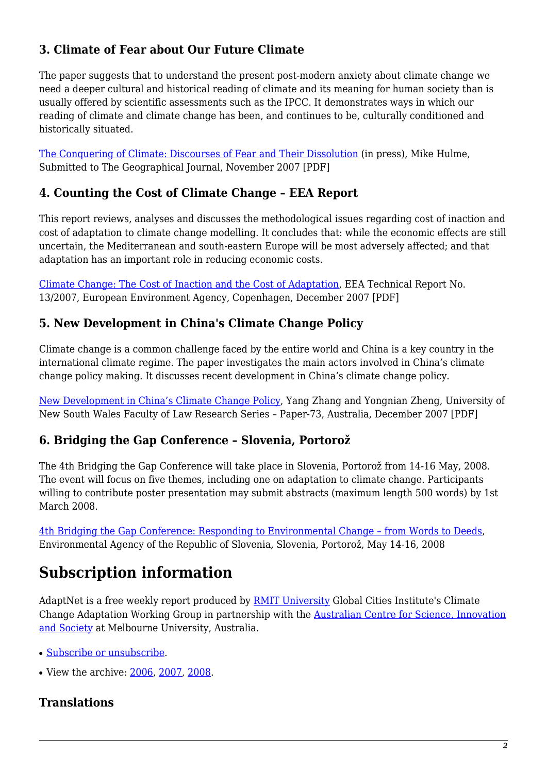## **3. Climate of Fear about Our Future Climate**

The paper suggests that to understand the present post-modern anxiety about climate change we need a deeper cultural and historical reading of climate and its meaning for human society than is usually offered by scientific assessments such as the IPCC. It demonstrates ways in which our reading of climate and climate change has been, and continues to be, culturally conditioned and historically situated.

[The Conquering of Climate: Discourses of Fear and Their Dissolution](http://www.mikehulme.org/wp-content/uploads/2007/11/13_11-the-conquering-of-climate.pdf) (in press), Mike Hulme, Submitted to The Geographical Journal, November 2007 [PDF]

## <span id="page-1-0"></span>**4. Counting the Cost of Climate Change – EEA Report**

This report reviews, analyses and discusses the methodological issues regarding cost of inaction and cost of adaptation to climate change modelling. It concludes that: while the economic effects are still uncertain, the Mediterranean and south-eastern Europe will be most adversely affected; and that adaptation has an important role in reducing economic costs.

[Climate Change: The Cost of Inaction and the Cost of Adaptation](http://reports.eea.europa.eu/technical_report_2007_13/en/Tech_report_13_2007.pdf), EEA Technical Report No. 13/2007, European Environment Agency, Copenhagen, December 2007 [PDF]

### <span id="page-1-1"></span>**5. New Development in China's Climate Change Policy**

Climate change is a common challenge faced by the entire world and China is a key country in the international climate regime. The paper investigates the main actors involved in China's climate change policy making. It discusses recent development in China's climate change policy.

[New Development in China's Climate Change Policy](http://law.bepress.com/cgi/viewcontent.cgi?article=1075&context=unswwps), Yang Zhang and Yongnian Zheng, University of New South Wales Faculty of Law Research Series – Paper-73, Australia, December 2007 [PDF]

#### <span id="page-1-2"></span>**6. Bridging the Gap Conference – Slovenia, Portorož**

The 4th Bridging the Gap Conference will take place in Slovenia, Portorož from 14-16 May, 2008. The event will focus on five themes, including one on adaptation to climate change. Participants willing to contribute poster presentation may submit abstracts (maximum length 500 words) by 1st March 2008.

[4th Bridging the Gap Conference: Responding to Environmental Change – from Words to Deeds,](http://www.bridgingthegap.si/) Environmental Agency of the Republic of Slovenia, Slovenia, Portorož, May 14-16, 2008

# **Subscription information**

AdaptNet is a free weekly report produced by **[RMIT University](http://www.rmit.edu.au/) Global Cities Institute's Climate** Change Adaptation Working Group in partnership with the [Australian Centre for Science, Innovation](http://www.acsis.unimelb.edu.au/) [and Society](http://www.acsis.unimelb.edu.au/) at Melbourne University, Australia.

- [Subscribe or unsubscribe](https://nautilus.org/mailman/listinfo/adaptnet).
- View the archive: [2006,](http://nautilus.org/2007/adaptnet-for-20-november-2007/2006.html) [2007](http://nautilus.org/2007/adaptnet-for-20-november-2007/adaptnet-for-30-october-2007/index.html), [2008.](http://nautilus.org/index.html)

## **Translations**